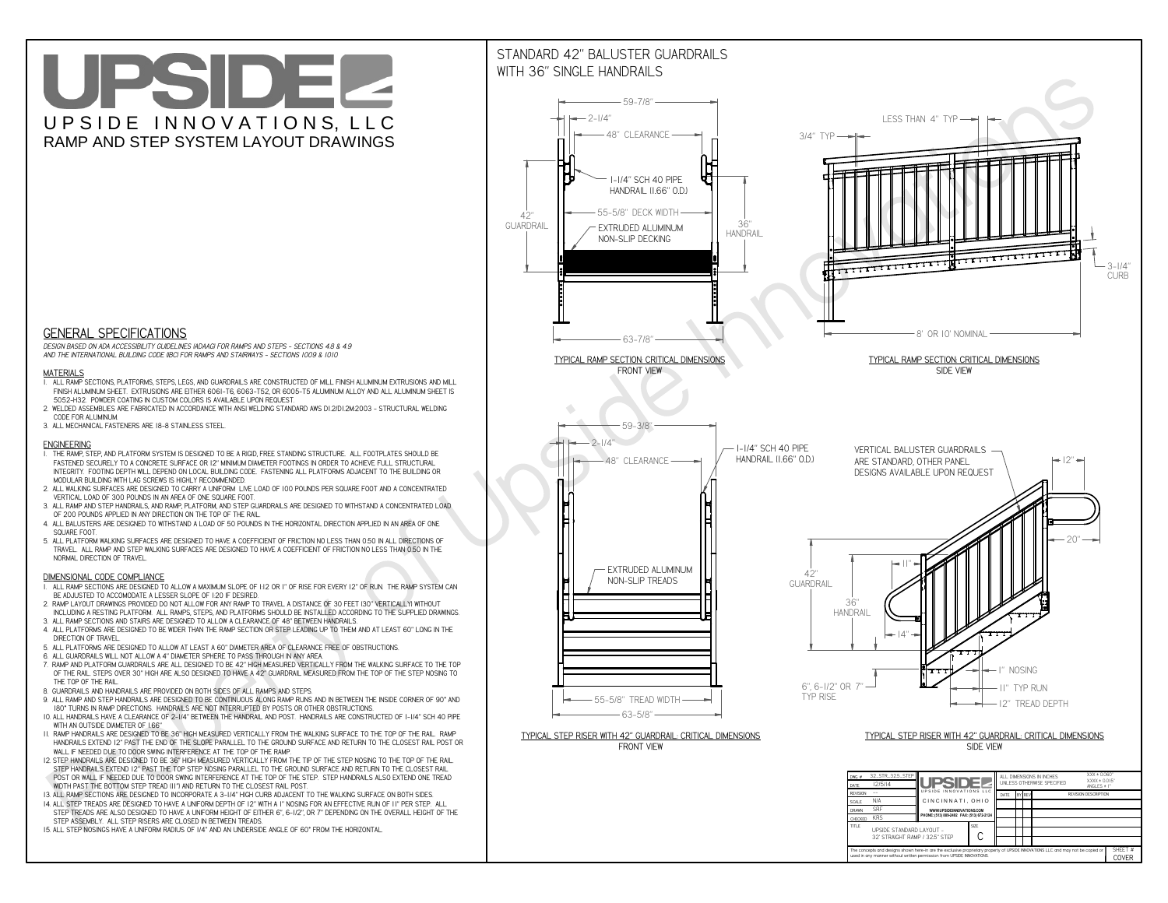**used in any manner without written permission from UPSIDE INNOVATIONS.**

# UPSIDEL UPSIDE INNOVATIONS, LLC RAMP AND STEP SYSTEM LAYOUT DRAWINGS

SHEET #**COVER**



The concepts and designs shown here-in are the exclusive proprietary property of UPSIDE INNOVATIONS LLC. and may not be copied o

**H** 

# WITH 36" SINGLE HANDRAILS



 *DESIGN BASED ON ADA ACCESSIBILITY GUIDELINES (ADAAG) FOR RAMPS AND STEPS - SECTIONS 4.8 & 4.9AND THE INTERNATIONAL BUILDING CODE (IBC) FOR RAMPS AND STAIRWAYS - SECTIONS 1009 & 1010*

### **MATERIALS**

- **1. ALL RAMP SECTIONS, PLATFORMS, STEPS, LEGS, AND GUARDRAILS ARE CONSTRUCTED OF MILL FINISH ALUMINUM EXTRUSIONS AND MILL FINISH ALUMINUM SHEET. EXTRUSIONS ARE EITHER 6061-T6, 6063-T52, OR 6005-T5 ALUMINUM ALLOY AND ALL ALUMINUM SHEET IS 5052-H32. POWDER COATING IN CUSTOM COLORS IS AVAILABLE UPON REQUEST.**
- **2. WELDED ASSEMBLIES ARE FABRICATED IN ACCORDANCE WITH ANSI WELDING STANDARD AWS D1.2/D1.2M:2003 STRUCTURAL WELDING CODE FOR ALUMINUM.**
- **3. ALL MECHANICAL FASTENERS ARE 18-8 STAINLESS STEEL.**

#### **ENGINEERING**

- **1. THE RAMP, STEP, AND PLATFORM SYSTEM IS DESIGNED TO BE A RIGID, FREE STANDING STRUCTURE. ALL FOOTPLATES SHOULD BE FASTENED SECURELY TO A CONCRETE SURFACE OR 12" MINIMUM DIAMETER FOOTINGS IN ORDER TO ACHIEVE FULL STRUCTURAL INTEGRITY. FOOTING DEPTH WILL DEPEND ON LOCAL BUILDING CODE. FASTENING ALL PLATFORMS ADJACENT TO THE BUILDING OR MODULAR BUILDING WITH LAG SCREWS IS HIGHLY RECOMMENDED.**
- **2. ALL WALKING SURFACES ARE DESIGNED TO CARRY A UNIFORM LIVE LOAD OF 100 POUNDS PER SQUARE FOOT AND A CONCENTRATED VERTICAL LOAD OF 300 POUNDS IN AN AREA OF ONE SQUARE FOOT.**
- **3. ALL RAMP AND STEP HANDRAILS, AND RAMP, PLATFORM, AND STEP GUARDRAILS ARE DESIGNED TO WITHSTAND A CONCENTRATED LOAD OF 200 POUNDS APPLIED IN ANY DIRECTION ON THE TOP OF THE RAIL.**
- **4. ALL BALUSTERS ARE DESIGNED TO WITHSTAND A LOAD OF 50 POUNDS IN THE HORIZONTAL DIRECTION APPLIED IN AN AREA OF ONE SQUARE FOOT.**
- **5. ALL PLATFORM WALKING SURFACES ARE DESIGNED TO HAVE A COEFFICIENT OF FRICTION NO LESS THAN 0.50 IN ALL DIRECTIONS OF TRAVEL. ALL RAMP AND STEP WALKING SURFACES ARE DESIGNED TO HAVE A COEFFICIENT OF FRICTION NO LESS THAN 0.50 IN THE NORMAL DIRECTION OF TRAVEL.**

### **DIMENSIONAL CODE COMPLIANCE**

- **1. ALL RAMP SECTIONS ARE DESIGNED TO ALLOW A MAXIMUM SLOPE OF 1:12 OR 1" OF RISE FOR EVERY 12" OF RUN. THE RAMP SYSTEM CAN BE ADJUSTED TO ACCOMODATE A LESSER SLOPE OF 1:20 IF DESIRED.**
- **2. RAMP LAYOUT DRAWINGS PROVIDED DO NOT ALLOW FOR ANY RAMP TO TRAVEL A DISTANCE OF 30 FEET (30" VERTICALLY) WITHOUT INCLUDING A RESTING PLATFORM. ALL RAMPS, STEPS, AND PLATFORMS SHOULD BE INSTALLED ACCORDING TO THE SUPPLIED DRAWINGS.**
- **3. ALL RAMP SECTIONS AND STAIRS ARE DESIGNED TO ALLOW A CLEARANCE OF 48" BETWEEN HANDRAILS.**
- **4. ALL PLATFORMS ARE DESIGNED TO BE WIDER THAN THE RAMP SECTION OR STEP LEADING UP TO THEM AND AT LEAST 60" LONG IN THE DIRECTION OF TRAVEL.**
- **5. ALL PLATFORMS ARE DESIGNED TO ALLOW AT LEAST A 60" DIAMETER AREA OF CLEARANCE FREE OF OBSTRUCTIONS.**
- **6. ALL GUARDRAILS WILL NOT ALLOW A 4" DIAMETER SPHERE TO PASS THROUGH IN ANY AREA.**
- **7. RAMP AND PLATFORM GUARDRAILS ARE ALL DESIGNED TO BE 42" HIGH MEASURED VERTICALLY FROM THE WALKING SURFACE TO THE TOP OF THE RAIL. STEPS OVER 30" HIGH ARE ALSO DESIGNED TO HAVE A 42" GUARDRAIL MEASURED FROM THE TOP OF THE STEP NOSING TO THE TOP OF THE RAIL.**
- **8. GUARDRAILS AND HANDRAILS ARE PROVIDED ON BOTH SIDES OF ALL RAMPS AND STEPS.**
- **9. ALL RAMP AND STEP HANDRAILS ARE DESIGNED TO BE CONTINUOUS ALONG RAMP RUNS AND IN BETWEEN THE INSIDE CORNER OF 90° AND 180° TURNS IN RAMP DIRECTIONS. HANDRAILS ARE NOT INTERRUPTED BY POSTS OR OTHER OBSTRUCTIONS.**
- **10. ALL HANDRAILS HAVE A CLEARANCE OF 2-1/4" BETWEEN THE HANDRAIL AND POST. HANDRAILS ARE CONSTRUCTED OF 1-1/4" SCH 40 PIPE WITH AN OUTSIDE DIAMETER OF 1.66"**
- **11. RAMP HANDRAILS ARE DESIGNED TO BE 36" HIGH MEASURED VERTICALLY FROM THE WALKING SURFACE TO THE TOP OF THE RAIL. RAMP HANDRAILS EXTEND 12" PAST THE END OF THE SLOPE PARALLEL TO THE GROUND SURFACE AND RETURN TO THE CLOSEST RAIL POST OR WALL IF NEEDED DUE TO DOOR SWING INTERFERENCE AT THE TOP OF THE RAMP.**
- **12. STEP HANDRAILS ARE DESIGNED TO BE 36" HIGH MEASURED VERTICALLY FROM THE TIP OF THE STEP NOSING TO THE TOP OF THE RAIL. STEP HANDRAILS EXTEND 12" PAST THE TOP STEP NOSING PARALLEL TO THE GROUND SURFACE AND RETURN TO THE CLOSEST RAIL POST OR WALL IF NEEDED DUE TO DOOR SWING INTERFERENCE AT THE TOP OF THE STEP. STEP HANDRAILS ALSO EXTEND ONE TREAD WIDTH PAST THE BOTTOM STEP TREAD (11") AND RETURN TO THE CLOSEST RAIL POST.**
- **13. ALL RAMP SECTIONS ARE DESIGNED TO INCORPORATE A 3-1/4" HIGH CURB ADJACENT TO THE WALKING SURFACE ON BOTH SIDES.**
- **14. ALL STEP TREADS ARE DESIGNED TO HAVE A UNIFORM DEPTH OF 12" WITH A 1" NOSING FOR AN EFFECTIVE RUN OF 11" PER STEP. ALL**
- **STEP TREADS ARE ALSO DESIGNED TO HAVE A UNIFORM HEIGHT OF EITHER 6", 6-1/2", OR 7" DEPENDING ON THE OVERALL HEIGHT OF THE STEP ASSEMBLY. ALL STEP RISERS ARE CLOSED IN BETWEEN TREADS.**
- **15. ALL STEP NOSINGS HAVE A UNIFORM RADIUS OF 1/4" AND AN UNDERSIDE ANGLE OF 60° FROM THE HORIZONTAL.**